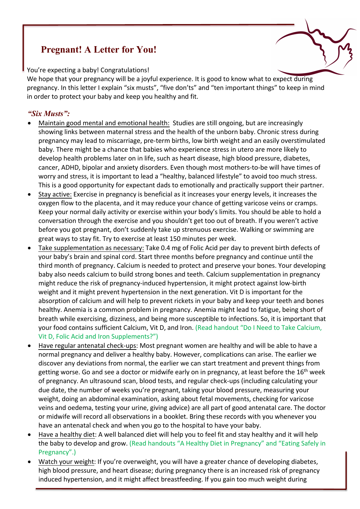## **Pregnant! A Letter for You!**

You're expecting a baby! Congratulations!

We hope that your pregnancy will be a joyful experience. It is good to know what to expect during pregnancy. In this letter I explain "six musts", "five don'ts" and "ten important things" to keep in mind in order to protect your baby and keep you healthy and fit.

## *"Six Musts":*

- Maintain good mental and emotional health: Studies are still ongoing, but are increasingly showing links between maternal stress and the health of the unborn baby. Chronic stress during pregnancy may lead to miscarriage, pre-term births, low birth weight and an easily overstimulated baby. There might be a chance that babies who experience stress in utero are more likely to develop health problems later on in life, such as heart disease, high blood pressure, diabetes, cancer, ADHD, bipolar and anxiety disorders. Even though most mothers-to-be will have times of worry and stress, it is important to lead a "healthy, balanced lifestyle" to avoid too much stress. This is a good opportunity for expectant dads to emotionally and practically support their partner.
- Stay active: Exercise in pregnancy is beneficial as it increases your energy levels, it increases the oxygen flow to the placenta, and it may reduce your chance of getting varicose veins or cramps. Keep your normal daily activity or exercise within your body's limits. You should be able to hold a conversation through the exercise and you shouldn't get too out of breath. If you weren't active before you got pregnant, don't suddenly take up strenuous exercise. Walking or swimming are great ways to stay fit. Try to exercise at least 150 minutes per week.
- Take supplementation as necessary: Take 0.4 mg of Folic Acid per day to prevent birth defects of your baby's brain and spinal cord. Start three months before pregnancy and continue until the third month of pregnancy. Calcium is needed to protect and preserve your bones. Your developing baby also needs calcium to build strong bones and teeth. Calcium supplementation in pregnancy might reduce the risk of pregnancy-induced hypertension, it might protect against low-birth weight and it might prevent hypertension in the next generation. Vit D is important for the absorption of calcium and will help to prevent rickets in your baby and keep your teeth and bones healthy. Anemia is a common problem in pregnancy. Anemia might lead to fatigue, being short of breath while exercising, dizziness, and being more susceptible to infections. So, it is important that your food contains sufficient Calcium, Vit D, and Iron. (Read handout "Do I Need to Take Calcium, Vit D, Folic Acid and Iron Supplements?")
- Have regular antenatal check-ups: Most pregnant women are healthy and will be able to have a normal pregnancy and deliver a healthy baby. However, complications can arise. The earlier we discover any deviations from normal, the earlier we can start treatment and prevent things from getting worse. Go and see a doctor or midwife early on in pregnancy, at least before the 16<sup>th</sup> week of pregnancy. An ultrasound scan, blood tests, and regular check-ups (including calculating your due date, the number of weeks you're pregnant, taking your blood pressure, measuring your weight, doing an abdominal examination, asking about fetal movements, checking for varicose veins and oedema, testing your urine, giving advice) are all part of good antenatal care. The doctor or midwife will record all observations in a booklet. Bring these records with you whenever you have an antenatal check and when you go to the hospital to have your baby.
- Have a healthy diet: A well balanced diet will help you to feel fit and stay healthy and it will help the baby to develop and grow. (Read handouts "A Healthy Diet in Pregnancy" and "Eating Safely in Pregnancy".)
- Watch your weight: If you're overweight, you will have a greater chance of developing diabetes, high blood pressure, and heart disease; during pregnancy there is an increased risk of pregnancy induced hypertension, and it might affect breastfeeding. If you gain too much weight during